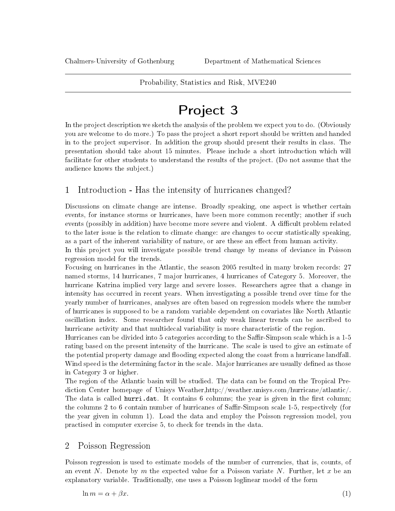Probability, Statistics and Risk, MVE240

## Project 3

In the project description we sketch the analysis of the problem we expect you to do. (Obviously you are welcome to do more.) To pass the project a short report should be written and handed in to the project supervisor. In addition the group should present their results in class. The presentation should take about 15 minutes. Please include a short introduction which will facilitate for other students to understand the results of the project. (Do not assume that the audience knows the subject.)

## 1 Introduction - Has the intensity of hurricanes changed?

Discussions on climate change are intense. Broadly speaking, one aspect is whether certain events, for instance storms or hurricanes, have been more common recently; another if such events (possibly in addition) have become more severe and violent. A difficult problem related to the later issue is the relation to climate change: are changes to occur statistically speaking, as a part of the inherent variability of nature, or are these an effect from human activity.

In this project you will investigate possible trend change by means of deviance in Poisson regression model for the trends.

Focusing on hurricanes in the Atlantic, the season 2005 resulted in many broken records: 27 named storms, 14 hurricanes, 7 major hurricanes, 4 hurricanes of Category 5. Moreover, the hurricane Katrina implied very large and severe losses. Researchers agree that a change in intensity has occurred in recent years. When investigating a possible trend over time for the yearly number of hurricanes, analyses are often based on regression models where the number of hurricanes is supposed to be a random variable dependent on covariates like North Atlantic oscillation index. Some researcher found that only weak linear trends can be ascribed to hurricane activity and that multidecal variability is more characteristic of the region.

Hurricanes can be divided into 5 categories according to the Saffir-Simpson scale which is a 1-5 rating based on the present intensity of the hurricane. The scale is used to give an estimate of the potential property damage and flooding expected along the coast from a hurricane landfall. Wind speed is the determining factor in the scale. Major hurricanes are usually defined as those in Category 3 or higher.

The region of the Atlantic basin will be studied. The data can be found on the Tropical Prediction Center homepage of Unisys Weather,http://weather.unisys.com/hurricane/atlantic/. The data is called hurri.dat. It contains 6 columns; the year is given in the first column; the columns 2 to 6 contain number of hurricanes of Saffir-Simpson scale 1-5, respectively (for the year given in column 1). Load the data and employ the Poisson regression model, you practised in computer exercise 5, to check for trends in the data.

## 2 Poisson Regression

<span id="page-0-0"></span>Poisson regression is used to estimate models of the number of currencies, that is, counts, of an event N. Denote by m the expected value for a Poisson variate N. Further, let x be an explanatory variable. Traditionally, one uses a Poisson loglinear model of the form